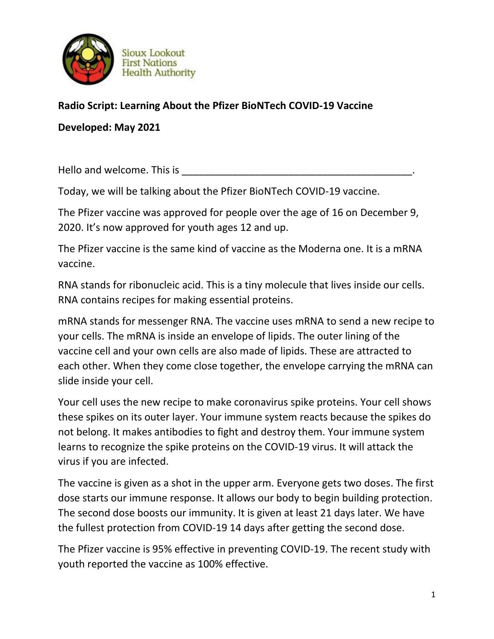

## **Sioux Lookout First Nations Health Authority**

## **Radio Script: Learning About the Pfizer BioNTech COVID-19 Vaccine**

**Developed: May 2021**

Hello and welcome. This is **Example 20** and  $\blacksquare$ 

Today, we will be talking about the Pfizer BioNTech COVID-19 vaccine.

The Pfizer vaccine was approved for people over the age of 16 on December 9, 2020. It's now approved for youth ages 12 and up.

The Pfizer vaccine is the same kind of vaccine as the Moderna one. It is a mRNA vaccine.

RNA stands for ribonucleic acid. This is a tiny molecule that lives inside our cells. RNA contains recipes for making essential proteins.

mRNA stands for messenger RNA. The vaccine uses mRNA to send a new recipe to your cells. The mRNA is inside an envelope of lipids. The outer lining of the vaccine cell and your own cells are also made of lipids. These are attracted to each other. When they come close together, the envelope carrying the mRNA can slide inside your cell.

Your cell uses the new recipe to make coronavirus spike proteins. Your cell shows these spikes on its outer layer. Your immune system reacts because the spikes do not belong. It makes antibodies to fight and destroy them. Your immune system learns to recognize the spike proteins on the COVID-19 virus. It will attack the virus if you are infected.

The vaccine is given as a shot in the upper arm. Everyone gets two doses. The first dose starts our immune response. It allows our body to begin building protection. The second dose boosts our immunity. It is given at least 21 days later. We have the fullest protection from COVID-19 14 days after getting the second dose.

The Pfizer vaccine is 95% effective in preventing COVID-19. The recent study with youth reported the vaccine as 100% effective.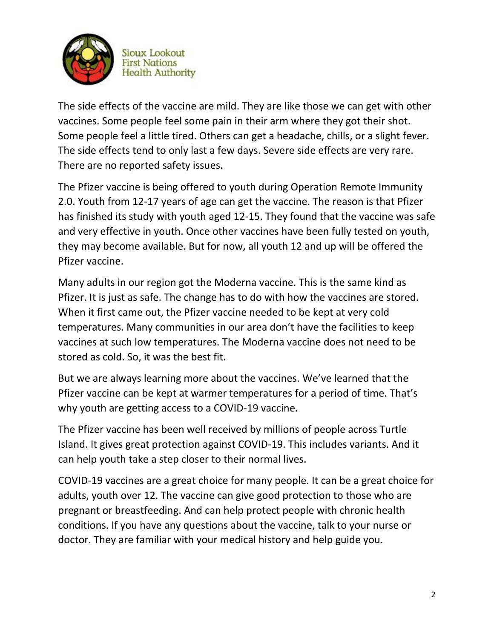

**Sioux Lookout First Nations Health Authority** 

The side effects of the vaccine are mild. They are like those we can get with other vaccines. Some people feel some pain in their arm where they got their shot. Some people feel a little tired. Others can get a headache, chills, or a slight fever. The side effects tend to only last a few days. Severe side effects are very rare. There are no reported safety issues.

The Pfizer vaccine is being offered to youth during Operation Remote Immunity 2.0. Youth from 12-17 years of age can get the vaccine. The reason is that Pfizer has finished its study with youth aged 12-15. They found that the vaccine was safe and very effective in youth. Once other vaccines have been fully tested on youth, they may become available. But for now, all youth 12 and up will be offered the Pfizer vaccine.

Many adults in our region got the Moderna vaccine. This is the same kind as Pfizer. It is just as safe. The change has to do with how the vaccines are stored. When it first came out, the Pfizer vaccine needed to be kept at very cold temperatures. Many communities in our area don't have the facilities to keep vaccines at such low temperatures. The Moderna vaccine does not need to be stored as cold. So, it was the best fit.

But we are always learning more about the vaccines. We've learned that the Pfizer vaccine can be kept at warmer temperatures for a period of time. That's why youth are getting access to a COVID-19 vaccine.

The Pfizer vaccine has been well received by millions of people across Turtle Island. It gives great protection against COVID-19. This includes variants. And it can help youth take a step closer to their normal lives.

COVID-19 vaccines are a great choice for many people. It can be a great choice for adults, youth over 12. The vaccine can give good protection to those who are pregnant or breastfeeding. And can help protect people with chronic health conditions. If you have any questions about the vaccine, talk to your nurse or doctor. They are familiar with your medical history and help guide you.